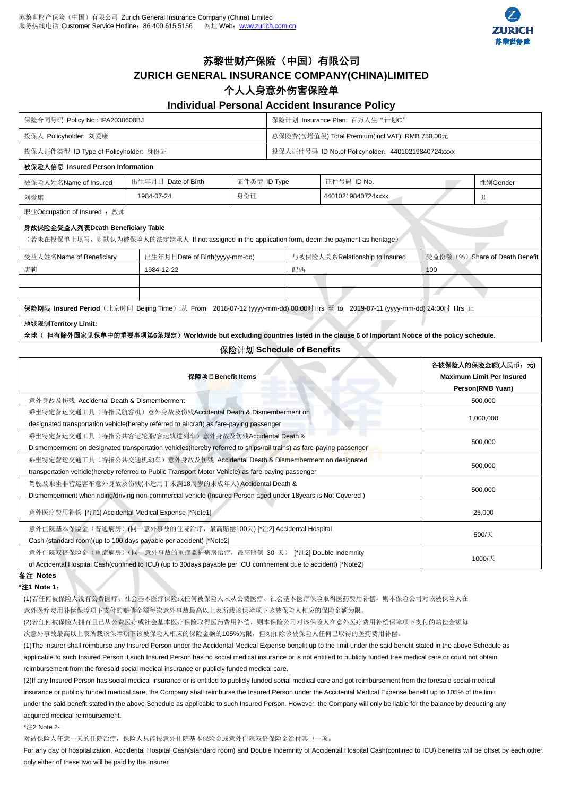

# 苏黎世财产保险(中国)有限公司

## **ZURICH GENERAL INSURANCE COMPANY(CHINA)LIMITED**

### 个人人身意外伤害保险单

### **Individual Personal Accident Insurance Policy**

| 保险合同号码 Policy No.: IPA2030600BJ                                                                                                       |                                |              | 保险计划 Insurance Plan: 百万人生"计划C"                    |                    |     |                                 |  |
|---------------------------------------------------------------------------------------------------------------------------------------|--------------------------------|--------------|---------------------------------------------------|--------------------|-----|---------------------------------|--|
| 投保人 Policyholder: 刘爱康                                                                                                                 |                                |              | 总保险费(含增值税) Total Premium(incl VAT): RMB 750.00元   |                    |     |                                 |  |
| 投保人证件类型 ID Type of Policyholder: 身份证                                                                                                  |                                |              | 投保人证件号码 ID No.of Policyholder: 44010219840724xxxx |                    |     |                                 |  |
| 被保险人信息 Insured Person Information                                                                                                     |                                |              |                                                   |                    |     |                                 |  |
| 被保险人姓名Name of Insured                                                                                                                 | 出生年月日 Date of Birth            | 证件类型 ID Type |                                                   | 证件号码 ID No.        |     | 性别Gender                        |  |
| 刘爱康                                                                                                                                   | 1984-07-24                     | 身份证          |                                                   | 44010219840724xxxx |     | 男                               |  |
| 职业Occupation of Insured : 教师                                                                                                          |                                |              |                                                   |                    |     |                                 |  |
| 身故保险金受益人列表Death Beneficiary Table<br>(若未在投保单上填写,则默认为被保险人的法定继承人 If not assigned in the application form, deem the payment as heritage) |                                |              |                                                   |                    |     |                                 |  |
| 受益人姓名Name of Beneficiary                                                                                                              | 出生年月日Date of Birth(yyyy-mm-dd) |              | 与被保险人关系Relationship to Insured                    |                    |     | 受益份额 (%) Share of Death Benefit |  |
| 唐莉                                                                                                                                    | 1984-12-22                     |              | 配偶                                                |                    | 100 |                                 |  |
|                                                                                                                                       |                                |              |                                                   |                    |     |                                 |  |
|                                                                                                                                       |                                |              |                                                   |                    |     |                                 |  |
| 保险期限 Insured Period (北京时间 Beijing Time):从 From 2018-07-12 (yyyy-mm-dd) 00:00时Hrs 至 to 2019-07-11 (yyyy-mm-dd) 24:00时 Hrs 止            |                                |              |                                                   |                    |     |                                 |  |
| 地域限制Territory Limit:                                                                                                                  |                                |              |                                                   |                    |     |                                 |  |

全球( 但有除外国家见保单中的重要事项第**6**条规定)**Worldwide but excluding countries listed in the clause 6 of Important Notice of the policy schedule.** 

#### 保险计划 **Schedule of Benefits**

| 保障项目Benefit Items                                                                                                   | 各被保险人的保险金额(人民币:元)<br><b>Maximum Limit Per Insured</b><br>Person(RMB Yuan) |  |
|---------------------------------------------------------------------------------------------------------------------|---------------------------------------------------------------------------|--|
| 意外身故及伤残 Accidental Death & Dismemberment                                                                            | 500,000                                                                   |  |
| 乘坐特定营运交通工具(特指民航客机)意外身故及伤残Accidental Death & Dismemberment on                                                        | 1,000,000                                                                 |  |
| designated transportation vehicle (hereby referred to aircraft) as fare-paying passenger                            |                                                                           |  |
| 乘坐特定营运交通工具(特指公共客运轮船/客运轨道列车)意外身故及伤残Accidental Death &                                                                | 500,000                                                                   |  |
| Dismemberment on designated transportation vehicles (hereby referred to ships/rail trains) as fare-paying passenger |                                                                           |  |
| 乘坐特定营运交通工具(特指公共交通机动车)意外身故及伤残 Accidental Death & Dismemberment on designated                                         | 500,000                                                                   |  |
| transportation vehicle(hereby referred to Public Transport Motor Vehicle) as fare-paying passenger                  |                                                                           |  |
| 驾驶及乘坐非营运客车意外身故及伤残(不适用于未满18周岁的未成年人) Accidental Death &                                                               | 500,000                                                                   |  |
| Dismemberment when riding/driving non-commercial vehicle (Insured Person aged under 18 years is Not Covered)        |                                                                           |  |
| 意外医疗费用补偿 [*注1] Accidental Medical Expense [*Note1]                                                                  | 25,000                                                                    |  |
| 意外住院基本保险金(普通病房)(同一意外事故的住院治疗,最高赔偿100天) [*注2] Accidental Hospital                                                     | 500/天                                                                     |  |
| Cash (standard room)(up to 100 days payable per accident) [*Note2]                                                  |                                                                           |  |
| 意外住院双倍保险金(重症病房)(同一意外事故的重症监护病房治疗,最高赔偿 30 天) [*注2] Double Indemnity                                                   | 1000/天                                                                    |  |
| of Accidental Hospital Cash(confined to ICU) (up to 30days payable per ICU confinement due to accident) [*Note2]    |                                                                           |  |

### 备注 **Notes**

**\***注**1 Note 1**:

(1)若任何被保险人没有公费医疗、社会基本医疗保险或任何被保险人未从公费医疗、社会基本医疗保险取得医药费用补偿,则本保险公司对该被保险人在 意外医疗费用补偿保障项下支付的赔偿金额每次意外事故最高以上表所载该保障项下该被保险人相应的保险金额为限。

(2)若任何被保险人拥有且已从公费医疗或社会基本医疗保险取得医药费用补偿,则本保险公司对该保险人在意外医疗费用补偿保障项下支付的赔偿金额每 次意外事故最高以上表所载该保障项下该被保险人相应的保险金额的105%为限,但须扣除该被保险人任何已取得的医药费用补偿。

(1)The Insurer shall reimburse any Insured Person under the Accidental Medical Expense benefit up to the limit under the said benefit stated in the above Schedule as applicable to such Insured Person if such Insured Person has no social medical insurance or is not entitled to publicly funded free medical care or could not obtain reimbursement from the foresaid social medical insurance or publicly funded medical care.

(2)If any Insured Person has social medical insurance or is entitled to publicly funded social medical care and got reimbursement from the foresaid social medical insurance or publicly funded medical care, the Company shall reimburse the Insured Person under the Accidental Medical Expense benefit up to 105% of the limit under the said benefit stated in the above Schedule as applicable to such Insured Person. However, the Company will only be liable for the balance by deducting any acquired medical reimbursement.

#### \*注2 Note 2.

对被保险人任意一天的住院治疗,保险人只能按意外住院基本保险金或意外住院双倍保险金给付其中一项。

For any day of hospitalization, Accidental Hospital Cash(standard room) and Double Indemnity of Accidental Hospital Cash(confined to ICU) benefits will be offset by each other, only either of these two will be paid by the Insurer.